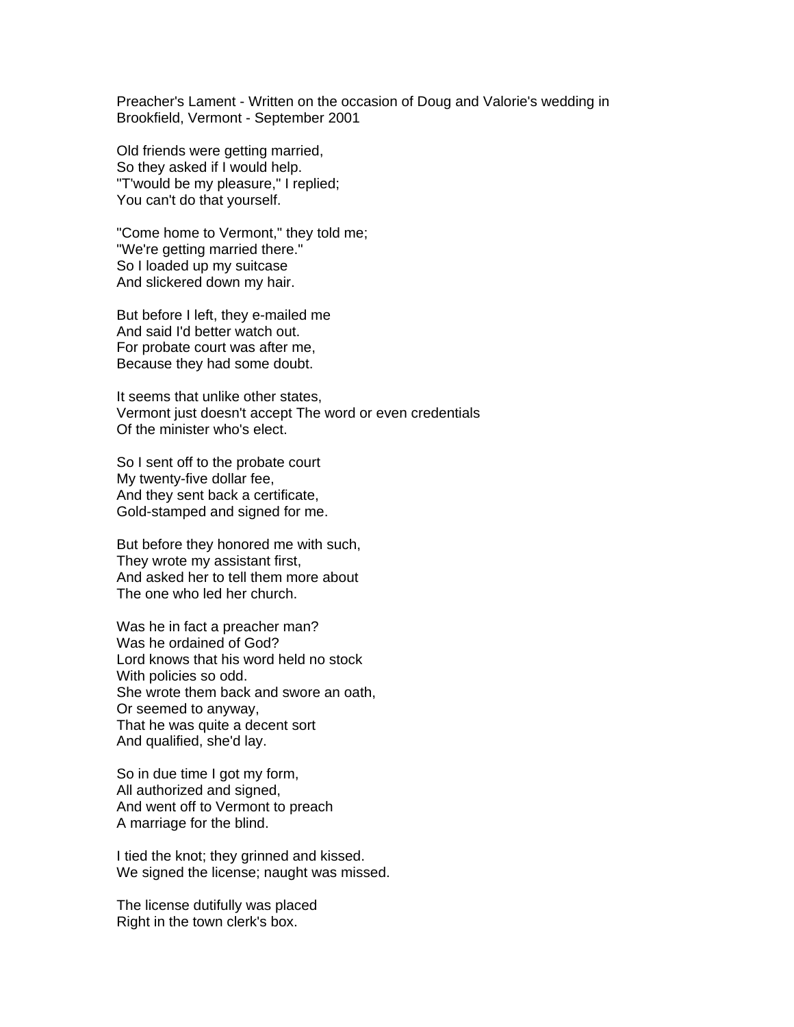Preacher's Lament - Written on the occasion of Doug and Valorie's wedding in Brookfield, Vermont - September 2001

Old friends were getting married, So they asked if I would help. "T'would be my pleasure," I replied; You can't do that yourself.

"Come home to Vermont," they told me; "We're getting married there." So I loaded up my suitcase And slickered down my hair.

But before I left, they e-mailed me And said I'd better watch out. For probate court was after me, Because they had some doubt.

It seems that unlike other states, Vermont just doesn't accept The word or even credentials Of the minister who's elect.

So I sent off to the probate court My twenty-five dollar fee, And they sent back a certificate, Gold-stamped and signed for me.

But before they honored me with such, They wrote my assistant first, And asked her to tell them more about The one who led her church.

Was he in fact a preacher man? Was he ordained of God? Lord knows that his word held no stock With policies so odd. She wrote them back and swore an oath, Or seemed to anyway, That he was quite a decent sort And qualified, she'd lay.

So in due time I got my form, All authorized and signed, And went off to Vermont to preach A marriage for the blind.

I tied the knot; they grinned and kissed. We signed the license; naught was missed.

The license dutifully was placed Right in the town clerk's box.